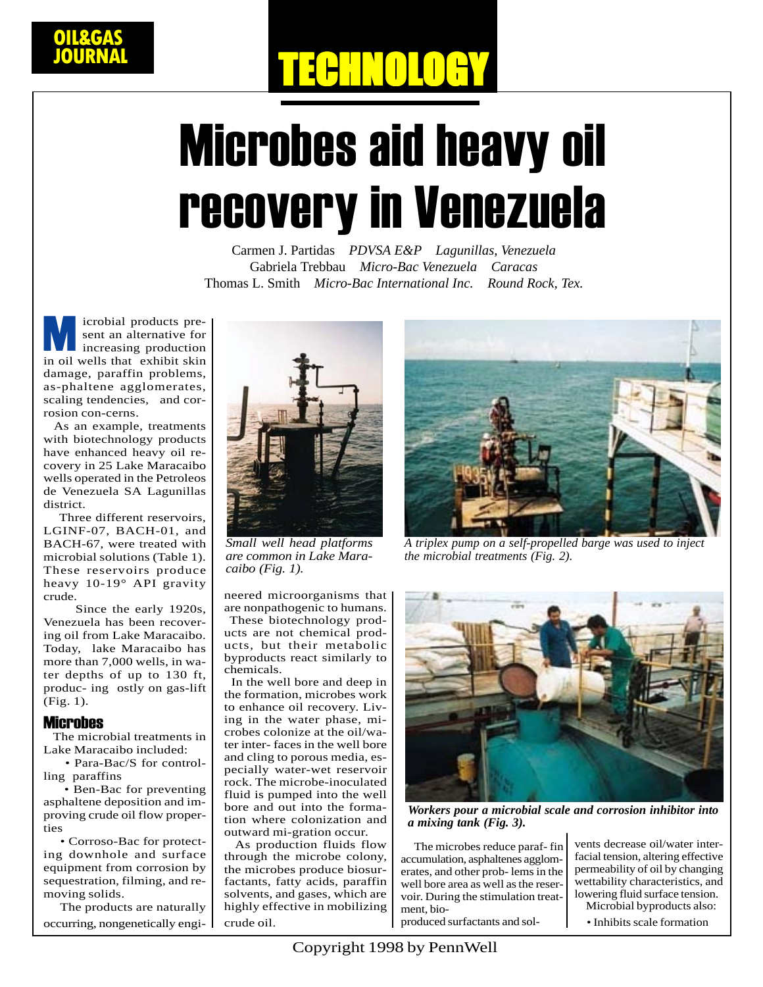# TECHNOLOGY

## Microbes aid heavy oil recovery in Venezuela

Carmen J. Partidas *PDVSA E&P Lagunillas, Venezuela* Gabriela Trebbau *Micro-Bac Venezuela Caracas* Thomas L. Smith *Micro-Bac International Inc. Round Rock, Tex.*

icrobial products present an alternative for increasing production in oil wells that exhibit skin damage, paraffin problems, as-phaltene agglomerates, scaling tendencies, and corrosion con-cerns. M<br>India

 As an example, treatments with biotechnology products have enhanced heavy oil recovery in 25 Lake Maracaibo wells operated in the Petroleos de Venezuela SA Lagunillas district.

 Three different reservoirs, LGINF-07, BACH-01, and BACH-67, were treated with microbial solutions (Table 1). These reservoirs produce heavy 10-19° API gravity crude.

 Since the early 1920s, Venezuela has been recovering oil from Lake Maracaibo. Today, lake Maracaibo has more than 7,000 wells, in water depths of up to 130 ft, produc- ing ostly on gas-lift (Fig. 1).

#### **Microbes**

 The microbial treatments in Lake Maracaibo included:

 • Para-Bac/S for controlling paraffins

 • Ben-Bac for preventing asphaltene deposition and improving crude oil flow properties

 • Corroso-Bac for protecting downhole and surface equipment from corrosion by sequestration, filming, and removing solids.

 The products are naturally occurring, nongenetically engi-



*Small well head platforms are common in Lake Maracaibo (Fig. 1).*

neered microorganisms that are nonpathogenic to humans.

 These biotechnology products are not chemical products, but their metabolic byproducts react similarly to chemicals.

 In the well bore and deep in the formation, microbes work to enhance oil recovery. Living in the water phase, microbes colonize at the oil/water inter- faces in the well bore and cling to porous media, especially water-wet reservoir rock. The microbe-inoculated fluid is pumped into the well bore and out into the formation where colonization and outward mi-gration occur.

 As production fluids flow through the microbe colony, the microbes produce biosurfactants, fatty acids, paraffin solvents, and gases, which are highly effective in mobilizing crude oil.



*A triplex pump on a self-propelled barge was used to inject the microbial treatments (Fig. 2).*



*Workers pour a microbial scale and corrosion inhibitor into a mixing tank (Fig. 3).*

 The microbes reduce paraf- fin accumulation, asphaltenes agglomerates, and other prob- lems in the well bore area as well as the reservoir. During the stimulation treatment, bioproduced surfactants and sol-

vents decrease oil/water interfacial tension, altering effective permeability of oil by changing wettability characteristics, and lowering fluid surface tension.

Microbial byproducts also:

• Inhibits scale formation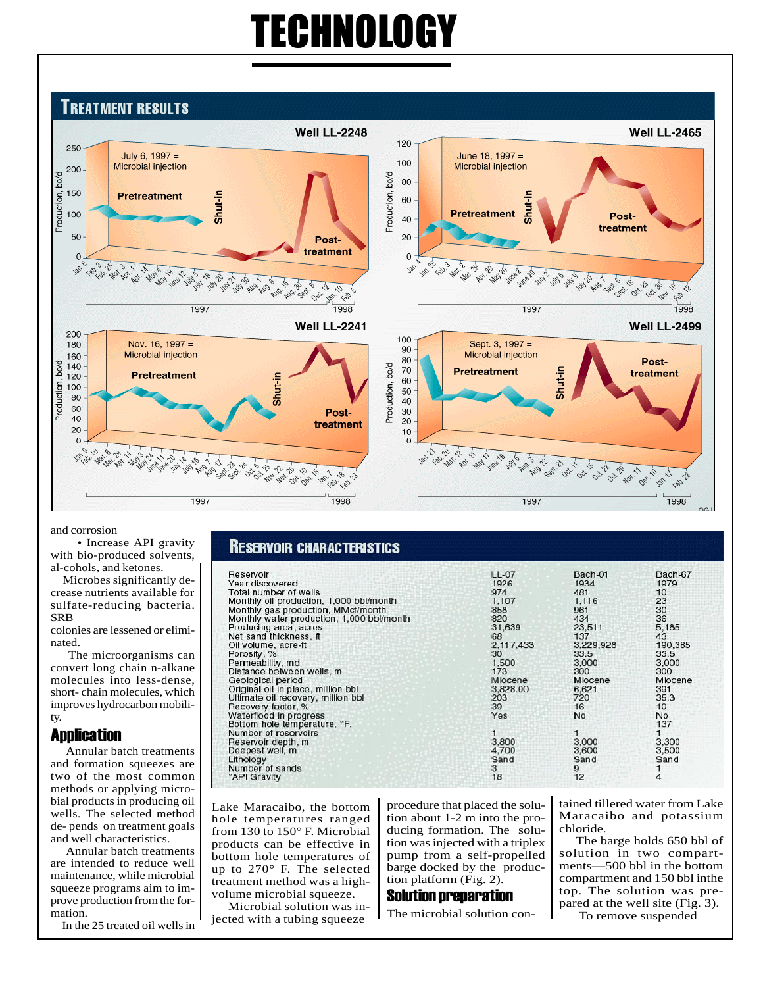### TECHNOLOGY

#### **TREATMENT RESULTS Well LL-2465 Well LL-2248** 120 250 July 6,  $1997 =$ June 18, 1997 = 100 Microbial injection Microbial injection 200 bo/d Production, bo/d 80 150 Production, Shut-in **Pretreatment** 60 Shut-i 100 **Pretreatment** Post-40 treatment 50  $20$ Posttreatment  $\mathbf 0$ 0 AD AS A BALLO I May 10 c, ė. **1000 - 1000** \$ ġ. **Mea** 1015-18 1412 Jun 27 ġ. å. रू 16 ġ.  $\phi$ ৰ্ণু 23 Ġп b, Sep- $\mathcal{L}$ es. OBC Cay 404 Cay ぷ 1997 1998 1997 1998 **Well LL-2241 Well LL-2499** 200 100 Nov. 16, 1997 = Sept. 3, 1997 = 180 90 Microbial injection Microbial injection 160 80 Postbo/d 140 Production, bo/d 70 **Pretreatment** treatment 120 **Pretreatment** Shut-ir 60 Production, 100 50 80 40 60 Post-30 40 20 treatment 20  $10$  $\Omega$  $\mathbf 0$ **10-10-11** ÷  $\mathcal{O}_{\lambda}$ May 17 a 19 2000 10 3.24 **1000000** ġ, **000-21** 00.11 02.15  $\lambda$ ż, Oct 21 22202222  $q_2$ **2-2019**  $\triangle$  $\phi_{\star}$  $\sim$  $\phi_{\!\scriptscriptstyle\! A}$  $\sqrt{2}$ ر<br>ئى oV 30 200 **SP** w  $\mathcal{C}_{\mathcal{B}}$ os,  $\mathscr{C}_{\mathscr{D}}$ 1997 1998 1997 1998

and corrosion

 • Increase API gravity with bio-produced solvents, al-cohols, and ketones.

 Microbes significantly decrease nutrients available for sulfate-reducing bacteria. **SRB** 

colonies are lessened or eliminated.

 The microorganisms can convert long chain n-alkane molecules into less-dense, short- chain molecules, which improves hydrocarbon mobility.

#### Application

 Annular batch treatments and formation squeezes are two of the most common methods or applying microbial products in producing oil wells. The selected method de- pends on treatment goals and well characteristics.

 Annular batch treatments are intended to reduce well maintenance, while microbial squeeze programs aim to improve production from the formation.

In the 25 treated oil wells in

#### **RESERVOIR CHARACTERISTICS**

| Reservoir                                 | LL-07     | Bach-01   | Bach-67 |
|-------------------------------------------|-----------|-----------|---------|
| Year discovered                           | 1926      | 1934      | 1979    |
| Total number of wells                     | 974       | 481       | 10      |
| Monthly oil production, 1,000 bbl/month   | 1,107     | 1.116     | 23      |
| Monthly gas production, MMcf/month        | 858       | 961       | 30      |
| Monthly water production, 1,000 bbl/month | 820       | 434       | 36      |
| Producing area, acres                     | 31,639    | 23,511    | 5.185   |
| Net sand thickness, ft                    | 68        | 137       | 43      |
| Oil volume, acre-ft                       | 2.117.433 | 3.229.928 | 190,385 |
| Porosity, %                               | 30        | 33.5      | 33.5    |
| Permeability, md                          | 1,500     | 3,000     | 3.000   |
| Distance between wells, m                 | 173       | 300       | 300     |
| Geological period                         | Miocene   | Miocene   | Miocene |
| Original oil in place, million bbl        | 3,828.00  | 6,621     | 391     |
| Ultimate oil recovery, million bbl        | 203       | 720       | 35.3    |
| Recovery factor, %                        | 39        | 16        | 10      |
| Waterflood in progress                    | Yes       | <b>No</b> | No      |
| Bottom hole temperature, °F.              |           |           | 137     |
| Number of reservoirs                      |           |           |         |
| Reservoir depth, m.                       | 3,800     | 3,000     | 3,300   |
| Deepest well, m                           | 4.700     | 3,600     | 3,500   |
| Lithology                                 | Sand      | Sand      | Sand    |
| Number of sands                           | 3         | 9         |         |
| <b>API Gravity</b>                        | 18        | 12        | 4       |
|                                           |           |           |         |

Lake Maracaibo, the bottom hole temperatures ranged from 130 to 150° F. Microbial products can be effective in bottom hole temperatures of up to 270° F. The selected treatment method was a highvolume microbial squeeze.

 Microbial solution was injected with a tubing squeeze

procedure that placed the solution about 1-2 m into the producing formation. The solution was injected with a triplex pump from a self-propelled barge docked by the production platform (Fig. 2).

#### Solution preparation

The microbial solution con-

tained tillered water from Lake Maracaibo and potassium chloride.

 The barge holds 650 bbl of solution in two compartments—500 bbl in the bottom compartment and 150 bbl inthe top. The solution was prepared at the well site (Fig. 3). To remove suspended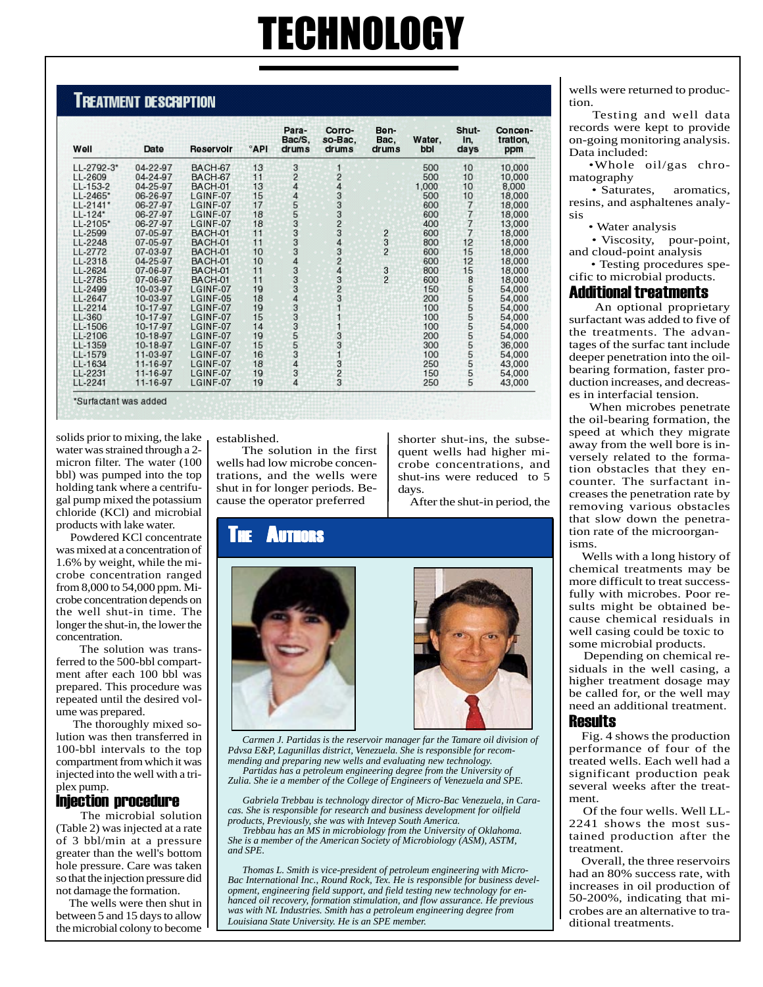## TECHNOLOGY

#### **TREATMENT DESCRIPTION**

| Well       | Date     | Reservoir | °API | Para-<br>Bac/S,<br>drums | Corro-<br>so-Bac.<br>drums                     | Ben-<br>Bac,<br>drums | Water,<br>bbl | Shut-<br>In,<br>days                       | Concen-<br>tration,<br>ppm |
|------------|----------|-----------|------|--------------------------|------------------------------------------------|-----------------------|---------------|--------------------------------------------|----------------------------|
| LL-2792-3* | 04-22-97 | BACH-67   | 13   |                          | 1                                              |                       | 500           | 10                                         | 10,000                     |
| LL-2609    | 04-24-97 | BACH-67   | 11   | 3244455333               | $\frac{2}{4}$                                  |                       | 500           | 10                                         | 10,000                     |
| $LL-153-2$ | 04-25-97 | BACH-01   | 13   |                          |                                                |                       | 1,000         | 10                                         | 8,000                      |
| LL-2465*   | 06-26-97 | LGINF-07  | 15   |                          |                                                |                       | 500           | 10                                         | 18,000                     |
| LL-2141*   | 06-27-97 | LGINF-07  | 17   |                          | 33333                                          |                       | 600           |                                            | 18,000                     |
| $LL-124*$  | 06-27-97 | LGINF-07  | 18   |                          |                                                |                       | 600           | $\begin{array}{c} 7 \\ 7 \\ 7 \end{array}$ | 18,000                     |
| LL-2105*   | 06-27-97 | LGINF-07  | 18   |                          |                                                |                       | 400           |                                            | 13,000                     |
| LL-2599    | 07-05-97 | BACH-01   | 11   |                          |                                                | 2                     | 600           | $\overline{7}$                             | 18,000                     |
| LL-2248    | 07-05-97 | BACH-01   | 11   |                          |                                                | $\frac{3}{2}$         | 800           | 12                                         | 18,000                     |
| LL-2772    | 07-03-97 | BACH-01   | 10   |                          | $\begin{array}{c}\n 4 \\ 2 \\ 3\n \end{array}$ |                       | 600           | 15                                         | 18,000                     |
| LL-2318    | 04-25-97 | BACH-01   | 10   | $\overline{4}$           |                                                |                       | 600           | 12                                         | 18,000                     |
| LL-2624    | 07-06-97 | BACH-01   | 11   | $\frac{3}{3}$            |                                                | $\frac{3}{2}$         | 800           | 15                                         | 18,000                     |
| LL-2785    | 07-06-97 | BACH-01   | 11   |                          |                                                |                       | 600           | 8                                          | 18,000                     |
| LL-2499    | 10-03-97 | LGINF-07  | 19   |                          |                                                |                       | 150           |                                            | 54,000                     |
| LL-2647    | 10-03-97 | LGINF-05  | 18   |                          |                                                |                       | 200           |                                            | 54,000                     |
| LL-2214    | 10-17-97 | LGINF-07  | 19   |                          |                                                |                       | 100           |                                            | 54,000                     |
| LL-360     | 10-17-97 | LGINF-07  | 15   |                          | $\overline{1}$                                 |                       | 100           |                                            | 54,000                     |
| LL-1506    | 10-17-97 | LGINF-07  | 14   |                          | 1                                              |                       | 100           | ភេទាម                                      | 54,000                     |
| LL-2106    | 10-18-97 | LGINF-07  | 19   |                          | $\begin{array}{c} 3 \\ 3 \\ 1 \end{array}$     |                       | 200           |                                            | 54,000                     |
| LL-1359    | 10-18-97 | LGINF-07  | 15   |                          |                                                |                       | 300           |                                            | 36,000                     |
| LL-1579    | 11-03-97 | LGINF-07  | 16   |                          |                                                |                       | 100           | 5555                                       | 54,000                     |
| LL-1634    | 11-16-97 | LGINF-07  | 18   | 434434345555333          |                                                |                       | 250           |                                            | 43,000                     |
| LL-2231    | 11-16-97 | LGINF-07  | 19   |                          | $\frac{3}{2}$                                  |                       | 150           | 5                                          | 54,000                     |
| LL-2241    | 11-16-97 | LGINF-07  | 19   | 4                        |                                                |                       | 250           | 5                                          | 43,000                     |

solids prior to mixing, the lake water was strained through a 2 micron filter. The water (100 bbl) was pumped into the top holding tank where a centrifugal pump mixed the potassium chloride (KCl) and microbial products with lake water.

 Powdered KCl concentrate was mixed at a concentration of 1.6% by weight, while the microbe concentration ranged from 8,000 to 54,000 ppm. Microbe concentration depends on the well shut-in time. The longer the shut-in, the lower the concentration.

 The solution was transferred to the 500-bbl compartment after each 100 bbl was prepared. This procedure was repeated until the desired volume was prepared.

 The thoroughly mixed solution was then transferred in 100-bbl intervals to the top compartment from which it was injected into the well with a triplex pump.

#### Injection procedure

 The microbial solution (Table 2) was injected at a rate of 3 bbl/min at a pressure greater than the well's bottom hole pressure. Care was taken so that the injection pressure did not damage the formation.

 The wells were then shut in between 5 and 15 days to allow the microbial colony to become established.

 The solution in the first wells had low microbe concentrations, and the wells were shut in for longer periods. Because the operator preferred

shorter shut-ins, the subsequent wells had higher microbe concentrations, and shut-ins were reduced to 5 days.

After the shut-in period, the

#### **Authors**



 *Carmen J. Partidas is the reservoir manager far the Tamare oil division of Pdvsa E&P, Lagunillas district, Venezuela. She is responsible for recommending and preparing new wells and evaluating new technology. Partidas has a petroleum engineering degree from the University of*

*Zulia. She ie a member of the College of Engineers of Venezuela and SPE.*

 *Gabriela Trebbau is technology director of Micro-Bac Venezuela, in Caracas. She is responsible for research and business development for oilfield products, Previously, she was with Intevep South America.*

 *Trebbau has an MS in microbiology from the University of Oklahoma. She is a member of the American Society of Microbiology (ASM), ASTM, and SPE.*

 *Thomas L. Smith is vice-president of petroleum engineering with Micro-Bac International Inc., Round Rock, Tex. He is responsible for business development, engineering field support, and field testing new technology for enhanced oil recovery, formation stimulation, and flow assurance. He previous was with NL Industries. Smith has a petroleum engineering degree from Louisiana State University. He is an SPE member.*

wells were returned to production.

 Testing and well data records were kept to provide on-going monitoring analysis. Data included:

 •Whole oil/gas chromatography

 • Saturates, aromatics, resins, and asphaltenes analysis

• Water analysis

 • Viscosity, pour-point, and cloud-point analysis

 • Testing procedures specific to microbial products.

#### Additional treatments

 An optional proprietary surfactant was added to five of the treatments. The advantages of the surfac tant include deeper penetration into the oilbearing formation, faster production increases, and decreases in interfacial tension.

 When microbes penetrate the oil-bearing formation, the speed at which they migrate away from the well bore is inversely related to the formation obstacles that they encounter. The surfactant increases the penetration rate by removing various obstacles that slow down the penetration rate of the microorganisms.

 Wells with a long history of chemical treatments may be more difficult to treat successfully with microbes. Poor results might be obtained because chemical residuals in well casing could be toxic to some microbial products.

 Depending on chemical residuals in the well casing, a higher treatment dosage may be called for, or the well may need an additional treatment.

#### **Results**

 Fig. 4 shows the production performance of four of the treated wells. Each well had a significant production peak several weeks after the treatment.

 Of the four wells. Well LL-2241 shows the most sustained production after the treatment.

 Overall, the three reservoirs had an 80% success rate, with increases in oil production of 50-200%, indicating that microbes are an alternative to traditional treatments.